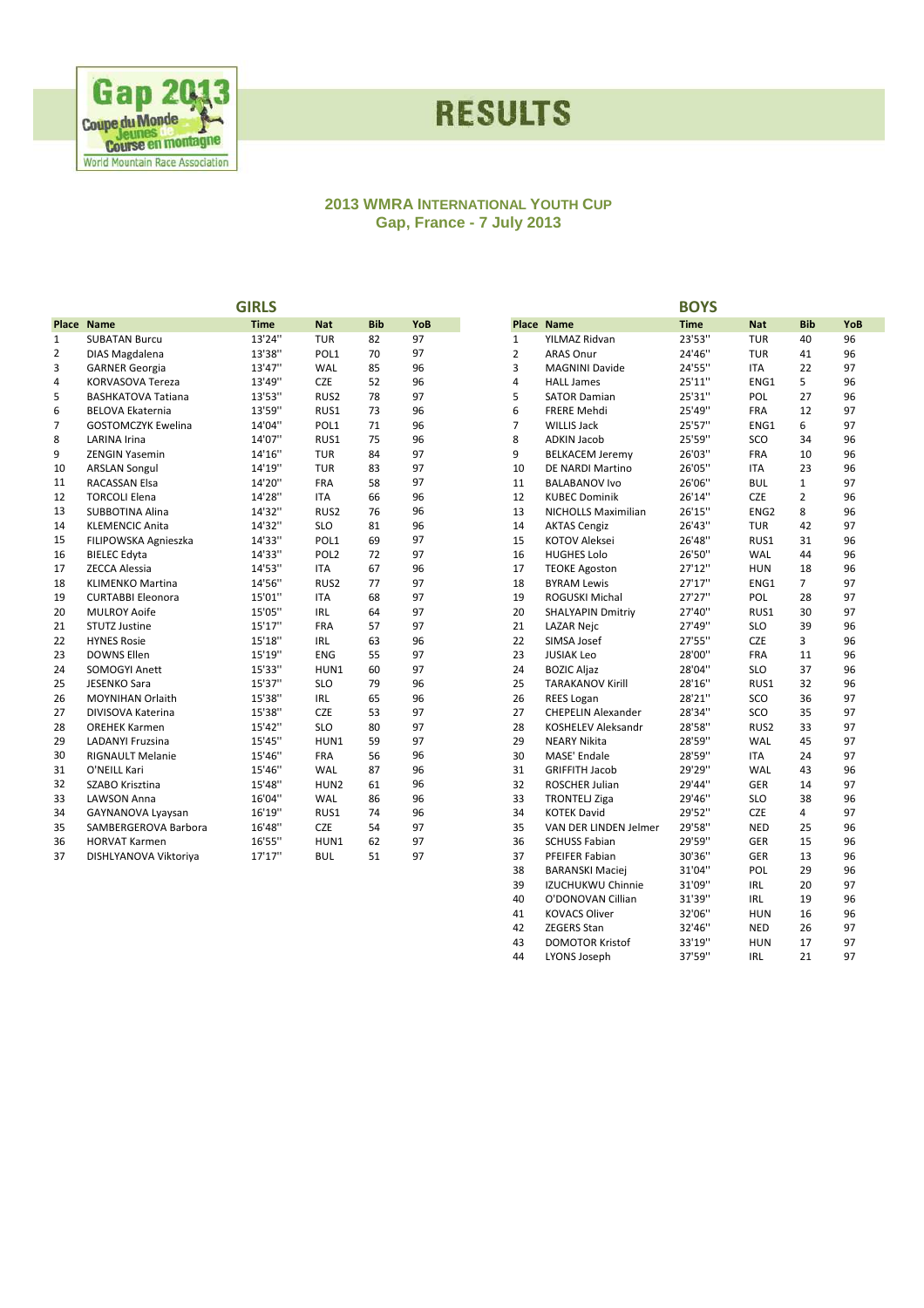

## **RESULTS**

#### **2013 WMRA INTERNATIONAL YOUTH CUP Gap, France - 7 July 2013**

|                |                           | <b>GIRLS</b> |                  |            |     |                |                           | <b>BOYS</b> |                  |                |     |
|----------------|---------------------------|--------------|------------------|------------|-----|----------------|---------------------------|-------------|------------------|----------------|-----|
|                | Place Name                | <b>Time</b>  | <b>Nat</b>       | <b>Bib</b> | YoB |                | <b>Place Name</b>         | <b>Time</b> | <b>Nat</b>       | <b>Bib</b>     | YoB |
| $\mathbf{1}$   | <b>SUBATAN Burcu</b>      | 13'24"       | <b>TUR</b>       | 82         | 97  | $\mathbf{1}$   | YILMAZ Ridvan             | 23'53"      | <b>TUR</b>       | 40             | 96  |
| $\overline{2}$ | DIAS Magdalena            | 13'38"       | POL1             | 70         | 97  | $\overline{2}$ | <b>ARAS Onur</b>          | 24'46"      | <b>TUR</b>       | 41             | 96  |
| 3              | <b>GARNER Georgia</b>     | 13'47"       | WAL              | 85         | 96  | 3              | <b>MAGNINI Davide</b>     | 24'55"      | <b>ITA</b>       | 22             | 97  |
| 4              | <b>KORVASOVA Tereza</b>   | 13'49"       | <b>CZE</b>       | 52         | 96  | 4              | <b>HALL James</b>         | 25'11"      | ENG1             | 5              | 96  |
| 5              | <b>BASHKATOVA Tatiana</b> | 13'53"       | RUS2             | 78         | 97  | 5              | <b>SATOR Damian</b>       | 25'31"      | POL              | 27             | 96  |
| 6              | <b>BELOVA Ekaternia</b>   | 13'59"       | RUS1             | 73         | 96  | 6              | <b>FRERE Mehdi</b>        | 25'49"      | FRA              | 12             | 97  |
| $\overline{7}$ | <b>GOSTOMCZYK Ewelina</b> | 14'04"       | POL1             | 71         | 96  | $\overline{7}$ | <b>WILLIS Jack</b>        | 25'57"      | ENG1             | 6              | 97  |
| 8              | <b>LARINA Irina</b>       | 14'07"       | RUS1             | 75         | 96  | 8              | <b>ADKIN Jacob</b>        | 25'59"      | SCO              | 34             | 96  |
| 9              | <b>ZENGIN Yasemin</b>     | 14'16"       | <b>TUR</b>       | 84         | 97  | 9              | <b>BELKACEM Jeremy</b>    | 26'03"      | <b>FRA</b>       | 10             | 96  |
| 10             | <b>ARSLAN Songul</b>      | 14'19"       | <b>TUR</b>       | 83         | 97  | 10             | <b>DE NARDI Martino</b>   | 26'05"      | <b>ITA</b>       | 23             | 96  |
| 11             | RACASSAN Elsa             | 14'20"       | <b>FRA</b>       | 58         | 97  | 11             | <b>BALABANOV Ivo</b>      | 26'06"      | <b>BUL</b>       | $\mathbf{1}$   | 97  |
| 12             | <b>TORCOLI Elena</b>      | 14'28"       | <b>ITA</b>       | 66         | 96  | 12             | <b>KUBEC Dominik</b>      | 26'14"      | CZE              | $\overline{2}$ | 96  |
| 13             | <b>SUBBOTINA Alina</b>    | 14'32"       | RUS <sub>2</sub> | 76         | 96  | 13             | NICHOLLS Maximilian       | 26'15"      | ENG <sub>2</sub> | 8              | 96  |
| 14             | <b>KLEMENCIC Anita</b>    | 14'32"       | <b>SLO</b>       | 81         | 96  | 14             | <b>AKTAS Cengiz</b>       | 26'43"      | <b>TUR</b>       | 42             | 97  |
| 15             | FILIPOWSKA Agnieszka      | 14'33"       | POL1             | 69         | 97  | 15             | <b>KOTOV Aleksei</b>      | 26'48"      | RUS1             | 31             | 96  |
| 16             | <b>BIELEC Edyta</b>       | 14'33"       | POL <sub>2</sub> | 72         | 97  | 16             | <b>HUGHES Lolo</b>        | 26'50"      | WAL              | 44             | 96  |
| 17             | <b>ZECCA Alessia</b>      | 14'53"       | <b>ITA</b>       | 67         | 96  | 17             | <b>TEOKE Agoston</b>      | 27'12"      | <b>HUN</b>       | 18             | 96  |
| 18             | <b>KLIMENKO Martina</b>   | 14'56"       | RUS <sub>2</sub> | 77         | 97  | 18             | <b>BYRAM Lewis</b>        | 27'17"      | ENG1             | $\overline{7}$ | 97  |
| 19             | <b>CURTABBI Eleonora</b>  | 15'01"       | <b>ITA</b>       | 68         | 97  | 19             | ROGUSKI Michal            | 27'27"      | POL              | 28             | 97  |
| 20             | <b>MULROY Aoife</b>       | 15'05"       | <b>IRL</b>       | 64         | 97  | 20             | <b>SHALYAPIN Dmitriy</b>  | 27'40"      | RUS1             | 30             | 97  |
| 21             | <b>STUTZ Justine</b>      | 15'17"       | <b>FRA</b>       | 57         | 97  | 21             | <b>LAZAR Nejc</b>         | 27'49"      | <b>SLO</b>       | 39             | 96  |
| 22             | <b>HYNES Rosie</b>        | 15'18"       | <b>IRL</b>       | 63         | 96  | 22             | SIMSA Josef               | 27'55"      | <b>CZE</b>       | 3              | 96  |
| 23             | <b>DOWNS Ellen</b>        | 15'19"       | <b>ENG</b>       | 55         | 97  | 23             | <b>JUSIAK Leo</b>         | 28'00"      | <b>FRA</b>       | 11             | 96  |
| 24             | SOMOGYI Anett             | 15'33"       | HUN1             | 60         | 97  | 24             | <b>BOZIC Aljaz</b>        | 28'04"      | <b>SLO</b>       | 37             | 96  |
| 25             | <b>JESENKO Sara</b>       | 15'37"       | <b>SLO</b>       | 79         | 96  | 25             | <b>TARAKANOV Kirill</b>   | 28'16"      | RUS1             | 32             | 96  |
| 26             | <b>MOYNIHAN Orlaith</b>   | 15'38"       | <b>IRL</b>       | 65         | 96  | 26             | <b>REES Logan</b>         | 28'21"      | SCO              | 36             | 97  |
| 27             | DIVISOVA Katerina         | 15'38"       | <b>CZE</b>       | 53         | 97  | 27             | <b>CHEPELIN Alexander</b> | 28'34"      | SCO              | 35             | 97  |
| 28             | <b>OREHEK Karmen</b>      | 15'42"       | <b>SLO</b>       | 80         | 97  | 28             | <b>KOSHELEV Aleksandr</b> | 28'58"      | RUS <sub>2</sub> | 33             | 97  |
| 29             | <b>LADANYI Fruzsina</b>   | 15'45"       | HUN1             | 59         | 97  | 29             | <b>NEARY Nikita</b>       | 28'59"      | WAL              | 45             | 97  |
| 30             | <b>RIGNAULT Melanie</b>   | 15'46"       | FRA              | 56         | 96  | 30             | MASE' Endale              | 28'59"      | <b>ITA</b>       | 24             | 97  |
| 31             | O'NEILL Kari              | 15'46"       | WAL              | 87         | 96  | 31             | <b>GRIFFITH Jacob</b>     | 29'29"      | WAL              | 43             | 96  |
| 32             | SZABO Krisztina           | 15'48"       | HUN <sub>2</sub> | 61         | 96  | 32             | <b>ROSCHER Julian</b>     | 29'44"      | <b>GER</b>       | 14             | 97  |
| 33             | <b>LAWSON Anna</b>        | 16'04"       | WAL              | 86         | 96  | 33             | <b>TRONTELJ Ziga</b>      | 29'46"      | <b>SLO</b>       | 38             | 96  |
| 34             | GAYNANOVA Lyaysan         | 16'19"       | RUS1             | 74         | 96  | 34             | <b>KOTEK David</b>        | 29'52"      | <b>CZE</b>       | 4              | 97  |
| 35             | SAMBERGEROVA Barbora      | 16'48"       | <b>CZE</b>       | 54         | 97  | 35             | VAN DER LINDEN Jelmer     | 29'58"      | <b>NED</b>       | 25             | 96  |
| 36             | <b>HORVAT Karmen</b>      | 16'55"       | HUN1             | 62         | 97  | 36             | <b>SCHUSS Fabian</b>      | 29'59"      | GER              | 15             | 96  |
| 37             | DISHLYANOVA Viktoriya     | 17'17''      | <b>BUL</b>       | 51         | 97  | 37             | PFEIFER Fabian            | 30'36"      | <b>GER</b>       | 13             | 96  |

| <b>Place Name</b><br>23'53"<br>YILMAZ Ridvan<br><b>TUR</b><br>40<br>96<br>1<br>2<br>41<br>96<br><b>ARAS Onur</b><br>24'46"<br><b>TUR</b><br>3<br>24'55"<br><b>ITA</b><br>22<br>97<br><b>MAGNINI Davide</b><br>4<br>25'11"<br>5<br><b>HALL James</b><br>ENG1<br>96<br>5<br>27<br>25'31"<br>POL<br>96<br><b>SATOR Damian</b><br>97<br>6<br><b>FRERE Mehdi</b><br>25'49"<br><b>FRA</b><br>12<br>7<br>25'57"<br>6<br><b>WILLIS Jack</b><br>ENG1<br>97<br>8<br><b>ADKIN Jacob</b><br>25'59"<br>SCO<br>34<br>96<br>9<br>26'03"<br><b>FRA</b><br><b>BELKACEM Jeremy</b><br>10<br>96<br>26'05"<br><b>ITA</b><br>23<br>96<br>10<br>DE NARDI Martino<br>97<br>11<br><b>BALABANOV Ivo</b><br>26'06"<br><b>BUL</b><br>1<br>2<br>12<br><b>KUBEC Dominik</b><br>26'14"<br><b>CZE</b><br>96<br>13<br>26'15"<br>ENG <sub>2</sub><br>8<br>96<br>NICHOLLS Maximilian<br>14<br><b>AKTAS Cengiz</b><br>26'43"<br><b>TUR</b><br>42<br>97<br>15<br>26'48"<br>RUS1<br>31<br>96<br>KOTOV Aleksei<br>16<br><b>HUGHES Lolo</b><br>26'50"<br><b>WAL</b><br>44<br>96<br>17<br><b>TEOKE Agoston</b><br>27'12"<br><b>HUN</b><br>18<br>96<br>27'17"<br>ENG1<br>7<br>97<br>18<br><b>BYRAM Lewis</b><br>19<br>27'27"<br>POL<br>28<br>97<br>ROGUSKI Michal<br>20<br>27'40"<br>RUS1<br>30<br>97<br><b>SHALYAPIN Dmitriy</b><br>21<br><b>LAZAR Nejc</b><br>27'49"<br><b>SLO</b><br>39<br>96<br>22<br>3<br>SIMSA Josef<br>27'55"<br><b>CZE</b><br>96<br>23<br>28'00"<br><b>JUSIAK Leo</b><br><b>FRA</b><br>11<br>96<br>24<br>28'04"<br><b>SLO</b><br>37<br>96<br><b>BOZIC Aljaz</b><br>25<br>28'16"<br>32<br>96<br><b>TARAKANOV Kirill</b><br>RUS1<br>26<br>28'21"<br>SCO<br>36<br>97<br><b>REES Logan</b><br>27<br><b>CHEPELIN Alexander</b><br>28'34"<br>SCO<br>35<br>97<br>28<br>28'58"<br><b>KOSHELEV Aleksandr</b><br>RUS2<br>33<br>97<br>29<br><b>NEARY Nikita</b><br>28'59"<br><b>WAL</b><br>45<br>97<br>30<br><b>MASE' Endale</b><br>28'59"<br><b>ITA</b><br>24<br>97<br>31<br><b>GRIFFITH Jacob</b><br>29'29"<br>WAL<br>43<br>96<br>32<br>ROSCHER Julian<br>29'44"<br><b>GER</b><br>14<br>97<br>29'46"<br>33<br><b>TRONTELJ Ziga</b><br><b>SLO</b><br>38<br>96 |  |             |            |            |     |
|------------------------------------------------------------------------------------------------------------------------------------------------------------------------------------------------------------------------------------------------------------------------------------------------------------------------------------------------------------------------------------------------------------------------------------------------------------------------------------------------------------------------------------------------------------------------------------------------------------------------------------------------------------------------------------------------------------------------------------------------------------------------------------------------------------------------------------------------------------------------------------------------------------------------------------------------------------------------------------------------------------------------------------------------------------------------------------------------------------------------------------------------------------------------------------------------------------------------------------------------------------------------------------------------------------------------------------------------------------------------------------------------------------------------------------------------------------------------------------------------------------------------------------------------------------------------------------------------------------------------------------------------------------------------------------------------------------------------------------------------------------------------------------------------------------------------------------------------------------------------------------------------------------------------------------------------------------------------------------------------------------------------------------------------------------------------------------------------------------------------------------|--|-------------|------------|------------|-----|
|                                                                                                                                                                                                                                                                                                                                                                                                                                                                                                                                                                                                                                                                                                                                                                                                                                                                                                                                                                                                                                                                                                                                                                                                                                                                                                                                                                                                                                                                                                                                                                                                                                                                                                                                                                                                                                                                                                                                                                                                                                                                                                                                    |  | <b>Time</b> | <b>Nat</b> | <b>Bib</b> | YoB |
|                                                                                                                                                                                                                                                                                                                                                                                                                                                                                                                                                                                                                                                                                                                                                                                                                                                                                                                                                                                                                                                                                                                                                                                                                                                                                                                                                                                                                                                                                                                                                                                                                                                                                                                                                                                                                                                                                                                                                                                                                                                                                                                                    |  |             |            |            |     |
|                                                                                                                                                                                                                                                                                                                                                                                                                                                                                                                                                                                                                                                                                                                                                                                                                                                                                                                                                                                                                                                                                                                                                                                                                                                                                                                                                                                                                                                                                                                                                                                                                                                                                                                                                                                                                                                                                                                                                                                                                                                                                                                                    |  |             |            |            |     |
|                                                                                                                                                                                                                                                                                                                                                                                                                                                                                                                                                                                                                                                                                                                                                                                                                                                                                                                                                                                                                                                                                                                                                                                                                                                                                                                                                                                                                                                                                                                                                                                                                                                                                                                                                                                                                                                                                                                                                                                                                                                                                                                                    |  |             |            |            |     |
|                                                                                                                                                                                                                                                                                                                                                                                                                                                                                                                                                                                                                                                                                                                                                                                                                                                                                                                                                                                                                                                                                                                                                                                                                                                                                                                                                                                                                                                                                                                                                                                                                                                                                                                                                                                                                                                                                                                                                                                                                                                                                                                                    |  |             |            |            |     |
|                                                                                                                                                                                                                                                                                                                                                                                                                                                                                                                                                                                                                                                                                                                                                                                                                                                                                                                                                                                                                                                                                                                                                                                                                                                                                                                                                                                                                                                                                                                                                                                                                                                                                                                                                                                                                                                                                                                                                                                                                                                                                                                                    |  |             |            |            |     |
|                                                                                                                                                                                                                                                                                                                                                                                                                                                                                                                                                                                                                                                                                                                                                                                                                                                                                                                                                                                                                                                                                                                                                                                                                                                                                                                                                                                                                                                                                                                                                                                                                                                                                                                                                                                                                                                                                                                                                                                                                                                                                                                                    |  |             |            |            |     |
|                                                                                                                                                                                                                                                                                                                                                                                                                                                                                                                                                                                                                                                                                                                                                                                                                                                                                                                                                                                                                                                                                                                                                                                                                                                                                                                                                                                                                                                                                                                                                                                                                                                                                                                                                                                                                                                                                                                                                                                                                                                                                                                                    |  |             |            |            |     |
|                                                                                                                                                                                                                                                                                                                                                                                                                                                                                                                                                                                                                                                                                                                                                                                                                                                                                                                                                                                                                                                                                                                                                                                                                                                                                                                                                                                                                                                                                                                                                                                                                                                                                                                                                                                                                                                                                                                                                                                                                                                                                                                                    |  |             |            |            |     |
|                                                                                                                                                                                                                                                                                                                                                                                                                                                                                                                                                                                                                                                                                                                                                                                                                                                                                                                                                                                                                                                                                                                                                                                                                                                                                                                                                                                                                                                                                                                                                                                                                                                                                                                                                                                                                                                                                                                                                                                                                                                                                                                                    |  |             |            |            |     |
|                                                                                                                                                                                                                                                                                                                                                                                                                                                                                                                                                                                                                                                                                                                                                                                                                                                                                                                                                                                                                                                                                                                                                                                                                                                                                                                                                                                                                                                                                                                                                                                                                                                                                                                                                                                                                                                                                                                                                                                                                                                                                                                                    |  |             |            |            |     |
|                                                                                                                                                                                                                                                                                                                                                                                                                                                                                                                                                                                                                                                                                                                                                                                                                                                                                                                                                                                                                                                                                                                                                                                                                                                                                                                                                                                                                                                                                                                                                                                                                                                                                                                                                                                                                                                                                                                                                                                                                                                                                                                                    |  |             |            |            |     |
|                                                                                                                                                                                                                                                                                                                                                                                                                                                                                                                                                                                                                                                                                                                                                                                                                                                                                                                                                                                                                                                                                                                                                                                                                                                                                                                                                                                                                                                                                                                                                                                                                                                                                                                                                                                                                                                                                                                                                                                                                                                                                                                                    |  |             |            |            |     |
|                                                                                                                                                                                                                                                                                                                                                                                                                                                                                                                                                                                                                                                                                                                                                                                                                                                                                                                                                                                                                                                                                                                                                                                                                                                                                                                                                                                                                                                                                                                                                                                                                                                                                                                                                                                                                                                                                                                                                                                                                                                                                                                                    |  |             |            |            |     |
|                                                                                                                                                                                                                                                                                                                                                                                                                                                                                                                                                                                                                                                                                                                                                                                                                                                                                                                                                                                                                                                                                                                                                                                                                                                                                                                                                                                                                                                                                                                                                                                                                                                                                                                                                                                                                                                                                                                                                                                                                                                                                                                                    |  |             |            |            |     |
|                                                                                                                                                                                                                                                                                                                                                                                                                                                                                                                                                                                                                                                                                                                                                                                                                                                                                                                                                                                                                                                                                                                                                                                                                                                                                                                                                                                                                                                                                                                                                                                                                                                                                                                                                                                                                                                                                                                                                                                                                                                                                                                                    |  |             |            |            |     |
|                                                                                                                                                                                                                                                                                                                                                                                                                                                                                                                                                                                                                                                                                                                                                                                                                                                                                                                                                                                                                                                                                                                                                                                                                                                                                                                                                                                                                                                                                                                                                                                                                                                                                                                                                                                                                                                                                                                                                                                                                                                                                                                                    |  |             |            |            |     |
|                                                                                                                                                                                                                                                                                                                                                                                                                                                                                                                                                                                                                                                                                                                                                                                                                                                                                                                                                                                                                                                                                                                                                                                                                                                                                                                                                                                                                                                                                                                                                                                                                                                                                                                                                                                                                                                                                                                                                                                                                                                                                                                                    |  |             |            |            |     |
|                                                                                                                                                                                                                                                                                                                                                                                                                                                                                                                                                                                                                                                                                                                                                                                                                                                                                                                                                                                                                                                                                                                                                                                                                                                                                                                                                                                                                                                                                                                                                                                                                                                                                                                                                                                                                                                                                                                                                                                                                                                                                                                                    |  |             |            |            |     |
|                                                                                                                                                                                                                                                                                                                                                                                                                                                                                                                                                                                                                                                                                                                                                                                                                                                                                                                                                                                                                                                                                                                                                                                                                                                                                                                                                                                                                                                                                                                                                                                                                                                                                                                                                                                                                                                                                                                                                                                                                                                                                                                                    |  |             |            |            |     |
|                                                                                                                                                                                                                                                                                                                                                                                                                                                                                                                                                                                                                                                                                                                                                                                                                                                                                                                                                                                                                                                                                                                                                                                                                                                                                                                                                                                                                                                                                                                                                                                                                                                                                                                                                                                                                                                                                                                                                                                                                                                                                                                                    |  |             |            |            |     |
|                                                                                                                                                                                                                                                                                                                                                                                                                                                                                                                                                                                                                                                                                                                                                                                                                                                                                                                                                                                                                                                                                                                                                                                                                                                                                                                                                                                                                                                                                                                                                                                                                                                                                                                                                                                                                                                                                                                                                                                                                                                                                                                                    |  |             |            |            |     |
|                                                                                                                                                                                                                                                                                                                                                                                                                                                                                                                                                                                                                                                                                                                                                                                                                                                                                                                                                                                                                                                                                                                                                                                                                                                                                                                                                                                                                                                                                                                                                                                                                                                                                                                                                                                                                                                                                                                                                                                                                                                                                                                                    |  |             |            |            |     |
|                                                                                                                                                                                                                                                                                                                                                                                                                                                                                                                                                                                                                                                                                                                                                                                                                                                                                                                                                                                                                                                                                                                                                                                                                                                                                                                                                                                                                                                                                                                                                                                                                                                                                                                                                                                                                                                                                                                                                                                                                                                                                                                                    |  |             |            |            |     |
|                                                                                                                                                                                                                                                                                                                                                                                                                                                                                                                                                                                                                                                                                                                                                                                                                                                                                                                                                                                                                                                                                                                                                                                                                                                                                                                                                                                                                                                                                                                                                                                                                                                                                                                                                                                                                                                                                                                                                                                                                                                                                                                                    |  |             |            |            |     |
|                                                                                                                                                                                                                                                                                                                                                                                                                                                                                                                                                                                                                                                                                                                                                                                                                                                                                                                                                                                                                                                                                                                                                                                                                                                                                                                                                                                                                                                                                                                                                                                                                                                                                                                                                                                                                                                                                                                                                                                                                                                                                                                                    |  |             |            |            |     |
|                                                                                                                                                                                                                                                                                                                                                                                                                                                                                                                                                                                                                                                                                                                                                                                                                                                                                                                                                                                                                                                                                                                                                                                                                                                                                                                                                                                                                                                                                                                                                                                                                                                                                                                                                                                                                                                                                                                                                                                                                                                                                                                                    |  |             |            |            |     |
|                                                                                                                                                                                                                                                                                                                                                                                                                                                                                                                                                                                                                                                                                                                                                                                                                                                                                                                                                                                                                                                                                                                                                                                                                                                                                                                                                                                                                                                                                                                                                                                                                                                                                                                                                                                                                                                                                                                                                                                                                                                                                                                                    |  |             |            |            |     |
|                                                                                                                                                                                                                                                                                                                                                                                                                                                                                                                                                                                                                                                                                                                                                                                                                                                                                                                                                                                                                                                                                                                                                                                                                                                                                                                                                                                                                                                                                                                                                                                                                                                                                                                                                                                                                                                                                                                                                                                                                                                                                                                                    |  |             |            |            |     |
|                                                                                                                                                                                                                                                                                                                                                                                                                                                                                                                                                                                                                                                                                                                                                                                                                                                                                                                                                                                                                                                                                                                                                                                                                                                                                                                                                                                                                                                                                                                                                                                                                                                                                                                                                                                                                                                                                                                                                                                                                                                                                                                                    |  |             |            |            |     |
|                                                                                                                                                                                                                                                                                                                                                                                                                                                                                                                                                                                                                                                                                                                                                                                                                                                                                                                                                                                                                                                                                                                                                                                                                                                                                                                                                                                                                                                                                                                                                                                                                                                                                                                                                                                                                                                                                                                                                                                                                                                                                                                                    |  |             |            |            |     |
|                                                                                                                                                                                                                                                                                                                                                                                                                                                                                                                                                                                                                                                                                                                                                                                                                                                                                                                                                                                                                                                                                                                                                                                                                                                                                                                                                                                                                                                                                                                                                                                                                                                                                                                                                                                                                                                                                                                                                                                                                                                                                                                                    |  |             |            |            |     |
|                                                                                                                                                                                                                                                                                                                                                                                                                                                                                                                                                                                                                                                                                                                                                                                                                                                                                                                                                                                                                                                                                                                                                                                                                                                                                                                                                                                                                                                                                                                                                                                                                                                                                                                                                                                                                                                                                                                                                                                                                                                                                                                                    |  |             |            |            |     |
|                                                                                                                                                                                                                                                                                                                                                                                                                                                                                                                                                                                                                                                                                                                                                                                                                                                                                                                                                                                                                                                                                                                                                                                                                                                                                                                                                                                                                                                                                                                                                                                                                                                                                                                                                                                                                                                                                                                                                                                                                                                                                                                                    |  |             |            |            |     |
| 34<br>29'52"<br><b>CZE</b><br>4<br>97<br><b>KOTEK David</b>                                                                                                                                                                                                                                                                                                                                                                                                                                                                                                                                                                                                                                                                                                                                                                                                                                                                                                                                                                                                                                                                                                                                                                                                                                                                                                                                                                                                                                                                                                                                                                                                                                                                                                                                                                                                                                                                                                                                                                                                                                                                        |  |             |            |            |     |
| 35<br>VAN DER LINDEN Jelmer<br>29'58"<br><b>NED</b><br>25<br>96                                                                                                                                                                                                                                                                                                                                                                                                                                                                                                                                                                                                                                                                                                                                                                                                                                                                                                                                                                                                                                                                                                                                                                                                                                                                                                                                                                                                                                                                                                                                                                                                                                                                                                                                                                                                                                                                                                                                                                                                                                                                    |  |             |            |            |     |
| 36<br><b>SCHUSS Fabian</b><br>29'59"<br>GER<br>15<br>96                                                                                                                                                                                                                                                                                                                                                                                                                                                                                                                                                                                                                                                                                                                                                                                                                                                                                                                                                                                                                                                                                                                                                                                                                                                                                                                                                                                                                                                                                                                                                                                                                                                                                                                                                                                                                                                                                                                                                                                                                                                                            |  |             |            |            |     |
| 37<br>PFEIFER Fabian<br>30'36"<br><b>GER</b><br>13<br>96                                                                                                                                                                                                                                                                                                                                                                                                                                                                                                                                                                                                                                                                                                                                                                                                                                                                                                                                                                                                                                                                                                                                                                                                                                                                                                                                                                                                                                                                                                                                                                                                                                                                                                                                                                                                                                                                                                                                                                                                                                                                           |  |             |            |            |     |
| 38<br><b>BARANSKI Maciej</b><br>31'04"<br>POL<br>29<br>96                                                                                                                                                                                                                                                                                                                                                                                                                                                                                                                                                                                                                                                                                                                                                                                                                                                                                                                                                                                                                                                                                                                                                                                                                                                                                                                                                                                                                                                                                                                                                                                                                                                                                                                                                                                                                                                                                                                                                                                                                                                                          |  |             |            |            |     |
| 39<br>31'09"<br>20<br>IZUCHUKWU Chinnie<br>IRL<br>97                                                                                                                                                                                                                                                                                                                                                                                                                                                                                                                                                                                                                                                                                                                                                                                                                                                                                                                                                                                                                                                                                                                                                                                                                                                                                                                                                                                                                                                                                                                                                                                                                                                                                                                                                                                                                                                                                                                                                                                                                                                                               |  |             |            |            |     |
| 40<br>31'39"<br>19<br>96<br>O'DONOVAN Cillian<br><b>IRL</b>                                                                                                                                                                                                                                                                                                                                                                                                                                                                                                                                                                                                                                                                                                                                                                                                                                                                                                                                                                                                                                                                                                                                                                                                                                                                                                                                                                                                                                                                                                                                                                                                                                                                                                                                                                                                                                                                                                                                                                                                                                                                        |  |             |            |            |     |
| 41<br><b>KOVACS Oliver</b><br>32'06"<br>16<br><b>HUN</b><br>96                                                                                                                                                                                                                                                                                                                                                                                                                                                                                                                                                                                                                                                                                                                                                                                                                                                                                                                                                                                                                                                                                                                                                                                                                                                                                                                                                                                                                                                                                                                                                                                                                                                                                                                                                                                                                                                                                                                                                                                                                                                                     |  |             |            |            |     |
| 42<br><b>ZEGERS Stan</b><br>32'46"<br><b>NED</b><br>26<br>97                                                                                                                                                                                                                                                                                                                                                                                                                                                                                                                                                                                                                                                                                                                                                                                                                                                                                                                                                                                                                                                                                                                                                                                                                                                                                                                                                                                                                                                                                                                                                                                                                                                                                                                                                                                                                                                                                                                                                                                                                                                                       |  |             |            |            |     |
| 43<br><b>DOMOTOR Kristof</b><br>33'19"<br><b>HUN</b><br>17<br>97                                                                                                                                                                                                                                                                                                                                                                                                                                                                                                                                                                                                                                                                                                                                                                                                                                                                                                                                                                                                                                                                                                                                                                                                                                                                                                                                                                                                                                                                                                                                                                                                                                                                                                                                                                                                                                                                                                                                                                                                                                                                   |  |             |            |            |     |
| LYONS Joseph<br>37'59"<br>97<br>44<br><b>IRL</b><br>21                                                                                                                                                                                                                                                                                                                                                                                                                                                                                                                                                                                                                                                                                                                                                                                                                                                                                                                                                                                                                                                                                                                                                                                                                                                                                                                                                                                                                                                                                                                                                                                                                                                                                                                                                                                                                                                                                                                                                                                                                                                                             |  |             |            |            |     |